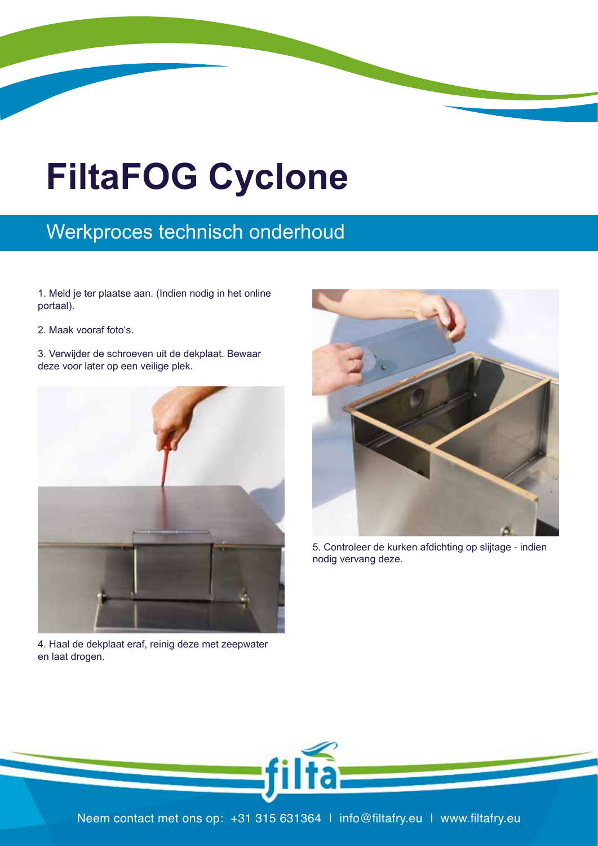## **FiltaFOG Cyclone**

## Werkproces technisch onderhoud

1. Meld je ter plaatse aan. (Indien nodig in het online portaal).

- 2. Maak vooraf foto's.
- 3. Verwijder de schroeven uit de dekplaat. Bewaar for later. deze voor later op een veilige plek.



en laat drogen. With soapy water, and leave to dry. 4. Haal de dekplaat eraf, reinig deze met zeepwater



nodig vervang deze. The metal seal for wear extending vervang deze. 5. Controleer de kurken afdichting op slijtage - indien



filfa: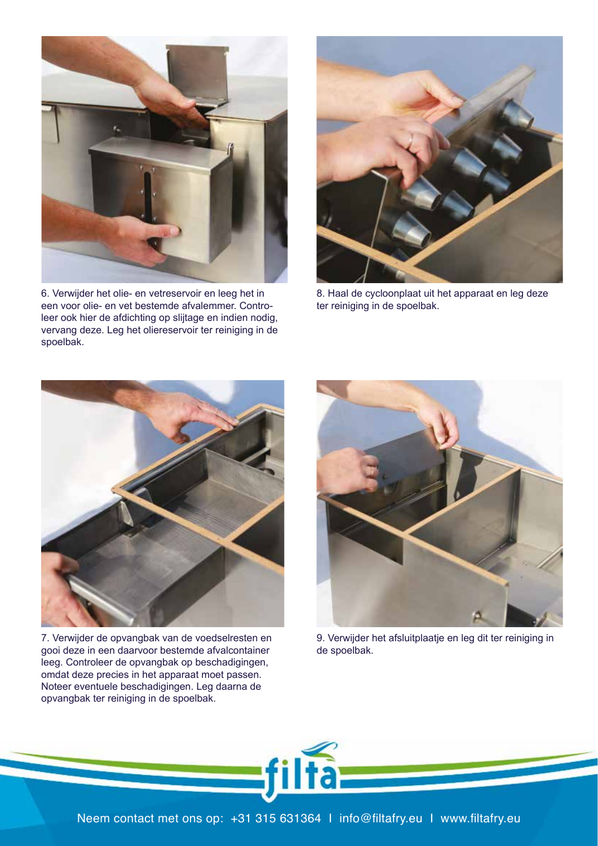

een voor olie- en vet bestemde afvalemmer. Controleer ook hier de afdichting op slijtage en indien nodig, eer ook het de aldenting op sigtage en indien houig, vervang deze. Leg het oliereservoir ter reiniging in de 6. Verwijder het olie- en vetreservoir en leeg het in spoelbak. vervang deze. Leg net onereservoir ter reinigin



ter reiniging in de spoelbak. 8. Haal de cycloonplaat uit het apparaat en leg deze



7. Verwijder de opvangbak van de voedselresten en gooi deze in een daarvoor bestemde afvalcontainer<br>leeg. Controleer de opvangbak op beschadigingen, gooi deze in een daarvoor bestemde afvalcontainer ensure it fits om dat deze precies in het apparaat moet passen.<br>Noteer eventuele beschadigingen. Leg daarna de Noteer eventuele beschadigingen. Leg daarna de opvangbak ter reiniging in de spoelbak.



9. Verwijder het afsluitplaatje en leg dit ter reiniging in de spoelbak.

filta=